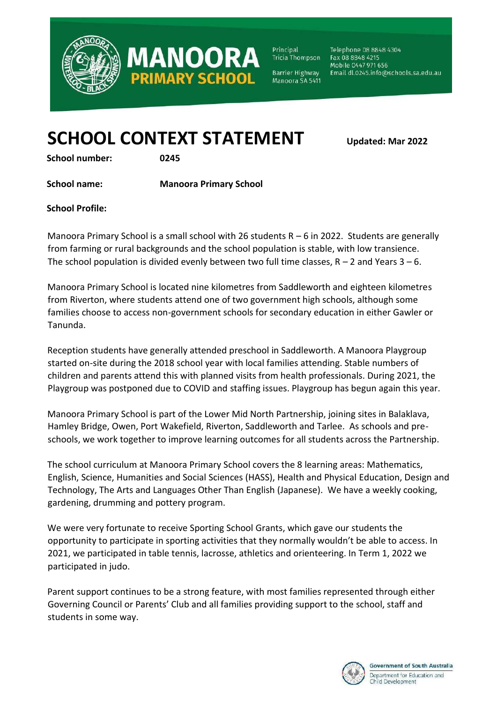

Principal Tricia Thompson Telephone 08 8848 4304 Fax 08 8848 4215 Mobile 0447 971 656 Email dl.0245.info@schools.sa.edu.au

Barrier Highway Manoora SA 5411

# **SCHOOL CONTEXT STATEMENT Updated: Mar <sup>2022</sup>**

**MANOOR** 

**PRIMARY SCHOOL** 

**School number: 0245** 

**School name: Manoora Primary School** 

**School Profile:** 

Manoora Primary School is a small school with 26 students  $R - 6$  in 2022. Students are generally from farming or rural backgrounds and the school population is stable, with low transience. The school population is divided evenly between two full time classes,  $R - 2$  and Years  $3 - 6$ .

Manoora Primary School is located nine kilometres from Saddleworth and eighteen kilometres from Riverton, where students attend one of two government high schools, although some families choose to access non-government schools for secondary education in either Gawler or Tanunda.

Reception students have generally attended preschool in Saddleworth. A Manoora Playgroup started on-site during the 2018 school year with local families attending. Stable numbers of children and parents attend this with planned visits from health professionals. During 2021, the Playgroup was postponed due to COVID and staffing issues. Playgroup has begun again this year.

Manoora Primary School is part of the Lower Mid North Partnership, joining sites in Balaklava, Hamley Bridge, Owen, Port Wakefield, Riverton, Saddleworth and Tarlee. As schools and preschools, we work together to improve learning outcomes for all students across the Partnership.

The school curriculum at Manoora Primary School covers the 8 learning areas: Mathematics, English, Science, Humanities and Social Sciences (HASS), Health and Physical Education, Design and Technology, The Arts and Languages Other Than English (Japanese). We have a weekly cooking, gardening, drumming and pottery program.

We were very fortunate to receive Sporting School Grants, which gave our students the opportunity to participate in sporting activities that they normally wouldn't be able to access. In 2021, we participated in table tennis, lacrosse, athletics and orienteering. In Term 1, 2022 we participated in judo.

Parent support continues to be a strong feature, with most families represented through either Governing Council or Parents' Club and all families providing support to the school, staff and students in some way.

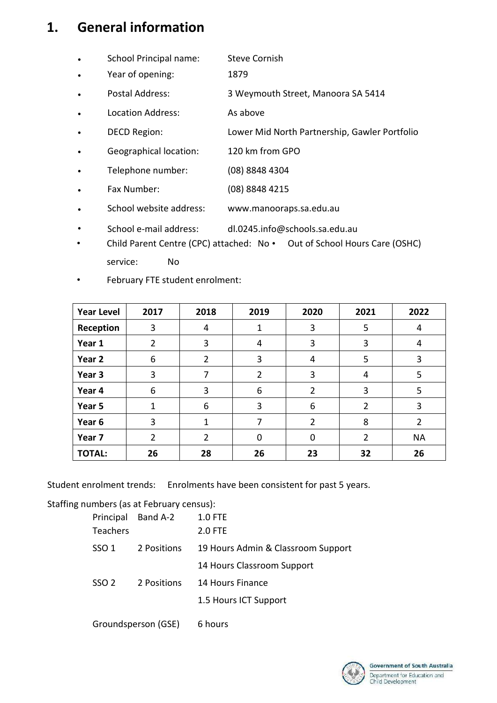#### **1. General information**

- School Principal name: Steve Cornish
- Year of opening: 1879
- Postal Address: 3 Weymouth Street, Manoora SA 5414
- Location Address: As above
- DECD Region: Lower Mid North Partnership, Gawler Portfolio
- Geographical location: 120 km from GPO
- Telephone number: (08) 8848 4304
- Fax Number: (08) 8848 4215
- School website address: www.manooraps.sa.edu.au
- School e-mail address: dl.0245.info@schools.sa.edu.au
- Child Parent Centre (CPC) attached: No Out of School Hours Care (OSHC) service: No
- February FTE student enrolment:

| <b>Year Level</b> | 2017           | 2018           | 2019           | 2020           | 2021           | 2022      |
|-------------------|----------------|----------------|----------------|----------------|----------------|-----------|
| Reception         | 3              | 4              |                | 3              | 5              | 4         |
| Year 1            | $\overline{2}$ | 3              | 4              | 3              | 3              | 4         |
| Year 2            | 6              | 2              | 3              | 4              | 5              | 3         |
| Year 3            | 3              | 7              | $\overline{2}$ | 3              | 4              | 5         |
| Year 4            | 6              | 3              | 6              | 2              | 3              | 5         |
| Year 5            | 1              | 6              | 3              | 6              | 2              | 3         |
| Year 6            | 3              | 1              | 7              | $\overline{2}$ | 8              | 2         |
| Year 7            | $\overline{2}$ | $\overline{2}$ | $\Omega$       | 0              | $\overline{2}$ | <b>NA</b> |
| <b>TOTAL:</b>     | 26             | 28             | 26             | 23             | 32             | 26        |

Student enrolment trends: Enrolments have been consistent for past 5 years.

#### Staffing numbers (as at February census):

|                 | Principal Band A-2  | <b>1.0 FTE</b>                     |
|-----------------|---------------------|------------------------------------|
| <b>Teachers</b> |                     | 2.0 FTE                            |
| SSO 1           | 2 Positions         | 19 Hours Admin & Classroom Support |
|                 |                     | 14 Hours Classroom Support         |
| SSO 2           | 2 Positions         | 14 Hours Finance                   |
|                 |                     | 1.5 Hours ICT Support              |
|                 | Groundsperson (GSE) | 6 hours                            |

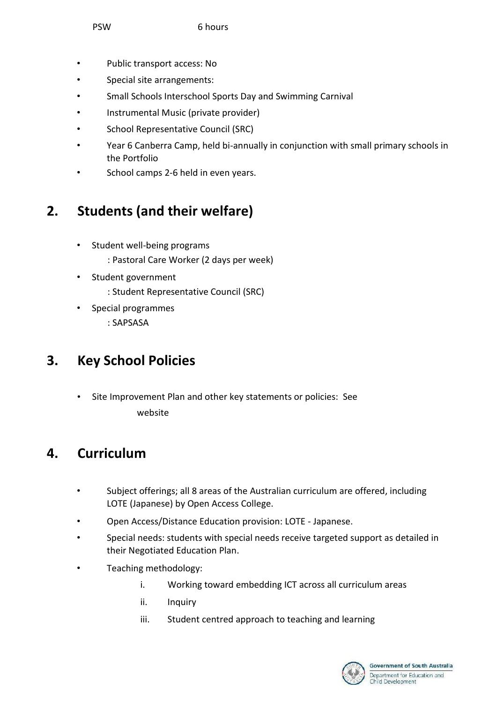- Public transport access: No
- Special site arrangements:
- Small Schools Interschool Sports Day and Swimming Carnival
- Instrumental Music (private provider)
- School Representative Council (SRC)
- Year 6 Canberra Camp, held bi-annually in conjunction with small primary schools in the Portfolio
- School camps 2-6 held in even years.

### **2. Students (and their welfare)**

- Student well-being programs : Pastoral Care Worker (2 days per week)
- Student government
	- : Student Representative Council (SRC)
- Special programmes : SAPSASA

#### **3. Key School Policies**

• Site Improvement Plan and other key statements or policies: See website

### **4. Curriculum**

- Subject offerings; all 8 areas of the Australian curriculum are offered, including LOTE (Japanese) by Open Access College.
- Open Access/Distance Education provision: LOTE Japanese.
- Special needs: students with special needs receive targeted support as detailed in their Negotiated Education Plan.
- Teaching methodology:
	- i. Working toward embedding ICT across all curriculum areas
	- ii. Inquiry
	- iii. Student centred approach to teaching and learning

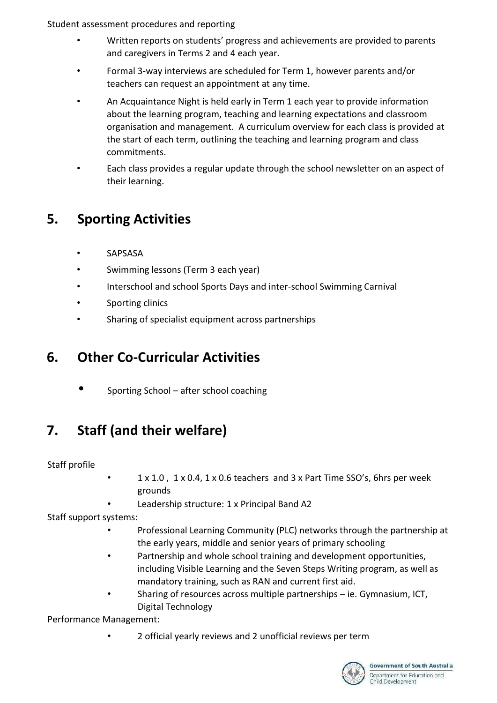Student assessment procedures and reporting

- Written reports on students' progress and achievements are provided to parents and caregivers in Terms 2 and 4 each year.
- Formal 3-way interviews are scheduled for Term 1, however parents and/or teachers can request an appointment at any time.
- An Acquaintance Night is held early in Term 1 each year to provide information about the learning program, teaching and learning expectations and classroom organisation and management. A curriculum overview for each class is provided at the start of each term, outlining the teaching and learning program and class commitments.
- Each class provides a regular update through the school newsletter on an aspect of their learning.

# **5. Sporting Activities**

- **SAPSASA**
- Swimming lessons (Term 3 each year)
- Interschool and school Sports Days and inter-school Swimming Carnival
- Sporting clinics
- Sharing of specialist equipment across partnerships

### **6. Other Co-Curricular Activities**

• Sporting School – after school coaching

# **7. Staff (and their welfare)**

Staff profile

- 1 x 1.0 , 1 x 0.4, 1 x 0.6 teachers and 3 x Part Time SSO's, 6hrs per week grounds
- Leadership structure: 1 x Principal Band A2

Staff support systems:

- Professional Learning Community (PLC) networks through the partnership at the early years, middle and senior years of primary schooling
- Partnership and whole school training and development opportunities, including Visible Learning and the Seven Steps Writing program, as well as mandatory training, such as RAN and current first aid.
- Sharing of resources across multiple partnerships ie. Gymnasium, ICT, Digital Technology

Performance Management:

• 2 official yearly reviews and 2 unofficial reviews per term

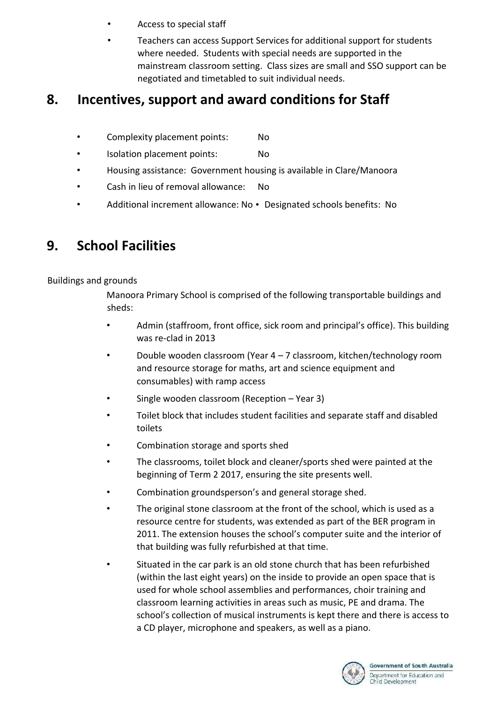- Access to special staff
- Teachers can access Support Services for additional support for students where needed. Students with special needs are supported in the mainstream classroom setting. Class sizes are small and SSO support can be negotiated and timetabled to suit individual needs.

### **8. Incentives, support and award conditions for Staff**

- Complexity placement points: No
- Isolation placement points: No
- Housing assistance: Government housing is available in Clare/Manoora
- Cash in lieu of removal allowance: No
- Additional increment allowance: No Designated schools benefits: No

# **9. School Facilities**

#### Buildings and grounds

Manoora Primary School is comprised of the following transportable buildings and sheds:

- Admin (staffroom, front office, sick room and principal's office). This building was re-clad in 2013
- Double wooden classroom (Year 4 7 classroom, kitchen/technology room and resource storage for maths, art and science equipment and consumables) with ramp access
- Single wooden classroom (Reception Year 3)
- Toilet block that includes student facilities and separate staff and disabled toilets
- Combination storage and sports shed
- The classrooms, toilet block and cleaner/sports shed were painted at the beginning of Term 2 2017, ensuring the site presents well.
- Combination groundsperson's and general storage shed.
- The original stone classroom at the front of the school, which is used as a resource centre for students, was extended as part of the BER program in 2011. The extension houses the school's computer suite and the interior of that building was fully refurbished at that time.
- Situated in the car park is an old stone church that has been refurbished (within the last eight years) on the inside to provide an open space that is used for whole school assemblies and performances, choir training and classroom learning activities in areas such as music, PE and drama. The school's collection of musical instruments is kept there and there is access to a CD player, microphone and speakers, as well as a piano.

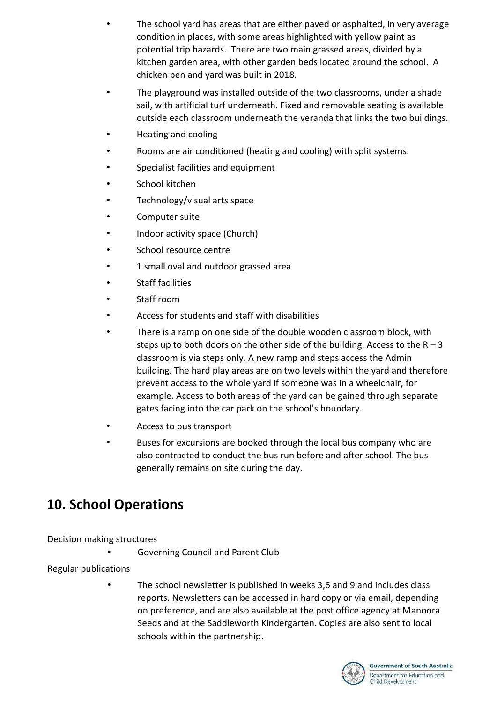- The school yard has areas that are either paved or asphalted, in very average condition in places, with some areas highlighted with yellow paint as potential trip hazards. There are two main grassed areas, divided by a kitchen garden area, with other garden beds located around the school. A chicken pen and yard was built in 2018.
- The playground was installed outside of the two classrooms, under a shade sail, with artificial turf underneath. Fixed and removable seating is available outside each classroom underneath the veranda that links the two buildings.
- Heating and cooling
- Rooms are air conditioned (heating and cooling) with split systems.
- Specialist facilities and equipment
- School kitchen
- Technology/visual arts space
- Computer suite
- Indoor activity space (Church)
- School resource centre
- 1 small oval and outdoor grassed area
- Staff facilities
- Staff room
- Access for students and staff with disabilities
- There is a ramp on one side of the double wooden classroom block, with steps up to both doors on the other side of the building. Access to the  $R - 3$ classroom is via steps only. A new ramp and steps access the Admin building. The hard play areas are on two levels within the yard and therefore prevent access to the whole yard if someone was in a wheelchair, for example. Access to both areas of the yard can be gained through separate gates facing into the car park on the school's boundary.
- Access to bus transport
- Buses for excursions are booked through the local bus company who are also contracted to conduct the bus run before and after school. The bus generally remains on site during the day.

### **10. School Operations**

#### Decision making structures

• Governing Council and Parent Club

#### Regular publications

• The school newsletter is published in weeks 3,6 and 9 and includes class reports. Newsletters can be accessed in hard copy or via email, depending on preference, and are also available at the post office agency at Manoora Seeds and at the Saddleworth Kindergarten. Copies are also sent to local schools within the partnership.

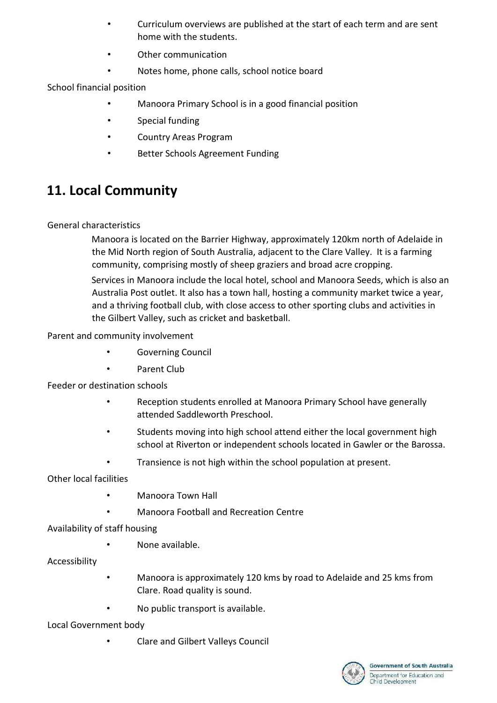- Curriculum overviews are published at the start of each term and are sent home with the students.
- Other communication
- Notes home, phone calls, school notice board

School financial position

- Manoora Primary School is in a good financial position
- Special funding
- Country Areas Program
- Better Schools Agreement Funding

# **11. Local Community**

#### General characteristics

Manoora is located on the Barrier Highway, approximately 120km north of Adelaide in the Mid North region of South Australia, adjacent to the Clare Valley. It is a farming community, comprising mostly of sheep graziers and broad acre cropping.

Services in Manoora include the local hotel, school and Manoora Seeds, which is also an Australia Post outlet. It also has a town hall, hosting a community market twice a year, and a thriving football club, with close access to other sporting clubs and activities in the Gilbert Valley, such as cricket and basketball.

Parent and community involvement

- Governing Council
- Parent Club

Feeder or destination schools

- Reception students enrolled at Manoora Primary School have generally attended Saddleworth Preschool.
- Students moving into high school attend either the local government high school at Riverton or independent schools located in Gawler or the Barossa.
- Transience is not high within the school population at present.

Other local facilities

- Manoora Town Hall
- Manoora Football and Recreation Centre

Availability of staff housing

• None available.

Accessibility

- Manoora is approximately 120 kms by road to Adelaide and 25 kms from Clare. Road quality is sound.
- No public transport is available.

Local Government body

• Clare and Gilbert Valleys Council